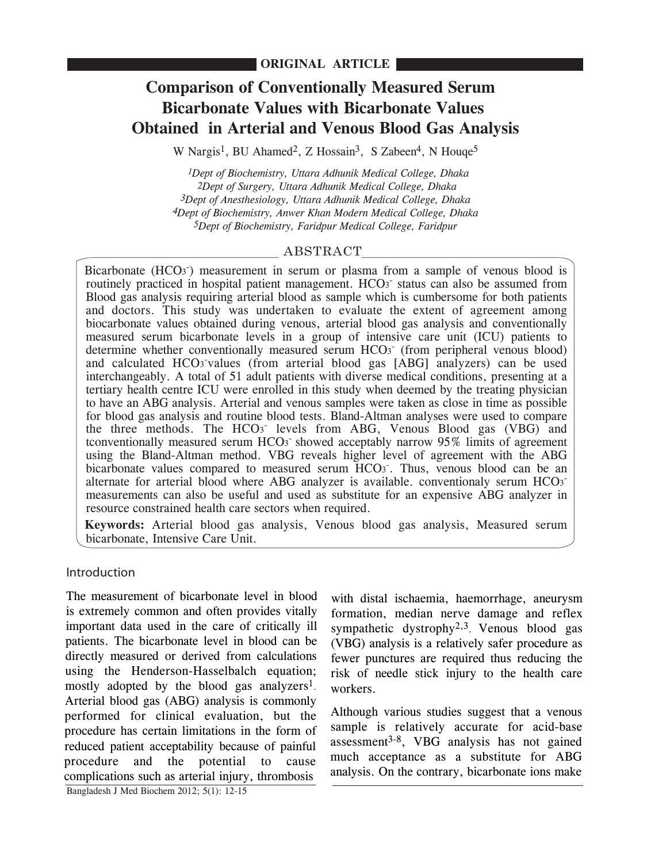# **Comparison of Conventionally Measured Serum Bicarbonate Values with Bicarbonate Values Obtained in Arterial and Venous Blood Gas Analysis**

W Nargis<sup>1</sup>, BU Ahamed<sup>2</sup>, Z Hossain<sup>3</sup>, S Zabeen<sup>4</sup>, N Houqe<sup>5</sup>

 *1Dept of Biochemistry, Uttara Adhunik Medical College, Dhaka 2Dept of Surgery, Uttara Adhunik Medical College, Dhaka 3Dept of Anesthesiology, Uttara Adhunik Medical College, Dhaka 4Dept of Biochemistry, Anwer Khan Modern Medical College, Dhaka 5Dept of Biochemistry, Faridpur Medical College, Faridpur*

## ABSTRACT

Bicarbonate (HCO<sub>3</sub><sup>-</sup>) measurement in serum or plasma from a sample of venous blood is routinely practiced in hospital patient management. HCO<sub>3</sub> status can also be assumed from Blood gas analysis requiring arterial blood as sample which is cumbersome for both patients and doctors. This study was undertaken to evaluate the extent of agreement among biocarbonate values obtained during venous, arterial blood gas analysis and conventionally measured serum bicarbonate levels in a group of intensive care unit (ICU) patients to determine whether conventionally measured serum HCO<sub>3</sub> (from peripheral venous blood) and calculated HCO<sub>3</sub> values (from arterial blood gas [ABG] analyzers) can be used interchangeably. A total of 51 adult patients with diverse medical conditions, presenting at a tertiary health centre ICU were enrolled in this study when deemed by the treating physician to have an ABG analysis. Arterial and venous samples were taken as close in time as possible for blood gas analysis and routine blood tests. Bland-Altman analyses were used to compare the three methods. The HCO<sub>3</sub> levels from ABG, Venous Blood gas (VBG) and tconventionally measured serum HCO<sub>3</sub> showed acceptably narrow 95% limits of agreement using the Bland-Altman method. VBG reveals higher level of agreement with the ABG bicarbonate values compared to measured serum HCO3. Thus, venous blood can be an alternate for arterial blood where ABG analyzer is available. conventionaly serum  $HCO<sub>3</sub>$ measurements can also be useful and used as substitute for an expensive ABG analyzer in resource constrained health care sectors when required.

**Keywords:** Arterial blood gas analysis, Venous blood gas analysis, Measured serum bicarbonate, Intensive Care Unit.

## **Introduction**

The measurement of bicarbonate level in blood is extremely common and often provides vitally important data used in the care of critically ill patients. The bicarbonate level in blood can be directly measured or derived from calculations using the Henderson-Hasselbalch equation; mostly adopted by the blood gas analyzers<sup>1</sup>. Arterial blood gas (ABG) analysis is commonly performed for clinical evaluation, but the procedure has certain limitations in the form of reduced patient acceptability because of painful procedure and the potential to cause complications such as arterial injury, thrombosis

with distal ischaemia, haemorrhage, aneurysm formation, median nerve damage and reflex sympathetic dystrophy<sup>2,3</sup>. Venous blood gas (VBG) analysis is a relatively safer procedure as fewer punctures are required thus reducing the risk of needle stick injury to the health care workers.

Although various studies suggest that a venous sample is relatively accurate for acid-base assessment $3-8$ , VBG analysis has not gained much acceptance as a substitute for ABG analysis. On the contrary, bicarbonate ions make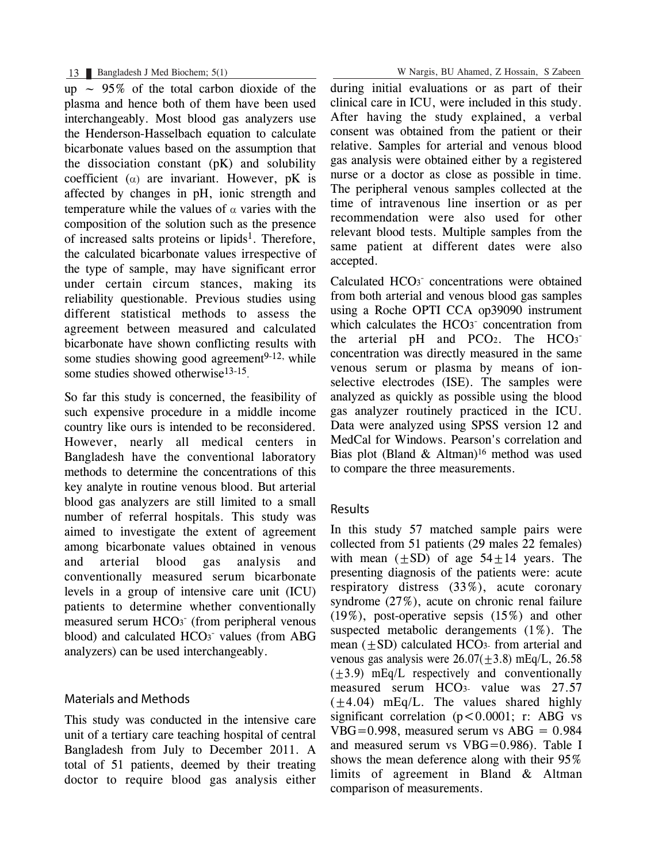up  $\sim$  95% of the total carbon dioxide of the plasma and hence both of them have been used interchangeably. Most blood gas analyzers use the Henderson-Hasselbach equation to calculate bicarbonate values based on the assumption that the dissociation constant (pK) and solubility coefficient  $(\alpha)$  are invariant. However, pK is affected by changes in pH, ionic strength and temperature while the values of  $\alpha$  varies with the composition of the solution such as the presence of increased salts proteins or lipids<sup>1</sup>. Therefore, the calculated bicarbonate values irrespective of the type of sample, may have significant error under certain circum stances, making its reliability questionable. Previous studies using different statistical methods to assess the agreement between measured and calculated bicarbonate have shown conflicting results with some studies showing good agreement<sup>9-12,</sup> while some studies showed otherwise<sup>13-15</sup>.

So far this study is concerned, the feasibility of such expensive procedure in a middle income country like ours is intended to be reconsidered. However, nearly all medical centers in Bangladesh have the conventional laboratory methods to determine the concentrations of this key analyte in routine venous blood. But arterial blood gas analyzers are still limited to a small number of referral hospitals. This study was aimed to investigate the extent of agreement among bicarbonate values obtained in venous and arterial blood gas analysis and conventionally measured serum bicarbonate levels in a group of intensive care unit (ICU) patients to determine whether conventionally measured serum HCO<sub>3</sub> (from peripheral venous blood) and calculated HCO<sub>3</sub><sup>-</sup> values (from ABG analyzers) can be used interchangeably.

# Materials and Methods

This study was conducted in the intensive care unit of a tertiary care teaching hospital of central Bangladesh from July to December 2011. A total of 51 patients, deemed by their treating doctor to require blood gas analysis either during initial evaluations or as part of their clinical care in ICU, were included in this study. After having the study explained, a verbal consent was obtained from the patient or their relative. Samples for arterial and venous blood gas analysis were obtained either by a registered nurse or a doctor as close as possible in time. The peripheral venous samples collected at the time of intravenous line insertion or as per recommendation were also used for other relevant blood tests. Multiple samples from the same patient at different dates were also accepted.

Calculated HCO<sub>3</sub><sup>-</sup> concentrations were obtained from both arterial and venous blood gas samples using a Roche OPTI CCA op39090 instrument which calculates the HCO<sub>3</sub><sup>-</sup> concentration from the arterial  $pH$  and PCO<sub>2</sub>. The HCO<sub>3</sub><sup>-</sup> concentration was directly measured in the same venous serum or plasma by means of ionselective electrodes (ISE). The samples were analyzed as quickly as possible using the blood gas analyzer routinely practiced in the ICU. Data were analyzed using SPSS version 12 and MedCal for Windows. Pearson's correlation and Bias plot (Bland  $\&$  Altman)<sup>16</sup> method was used to compare the three measurements.

## Results

In this study 57 matched sample pairs were collected from 51 patients (29 males 22 females) with mean  $(\pm SD)$  of age 54 $\pm 14$  years. The presenting diagnosis of the patients were: acute respiratory distress (33%), acute coronary syndrome (27%), acute on chronic renal failure (19%), post-operative sepsis (15%) and other suspected metabolic derangements (1%). The mean  $(\pm SD)$  calculated HCO<sub>3</sub>- from arterial and venous gas analysis were  $26.07(\pm3.8)$  mEq/L, 26.58  $(\pm 3.9)$  mEq/L respectively and conventionally measured serum HCO3- value was 27.57  $(\pm 4.04)$  mEq/L. The values shared highly significant correlation ( $p < 0.0001$ ; r: ABG vs  $VBG=0.998$ , measured serum vs  $ABC = 0.984$ and measured serum vs VBG=0.986). Table I shows the mean deference along with their 95% limits of agreement in Bland & Altman comparison of measurements.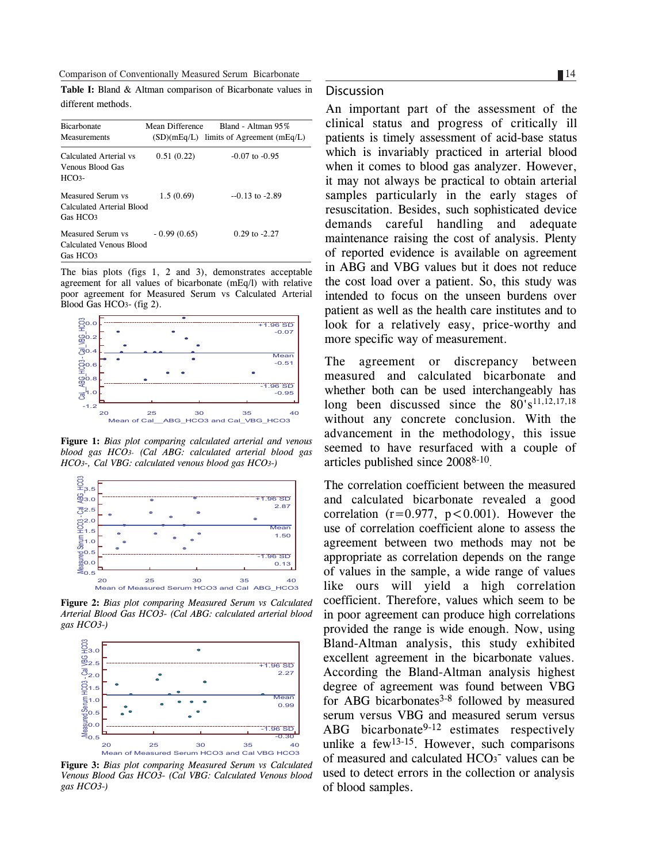Comparison of Conventionally Measured Serum Bicarbonate

**Table I:** Bland & Altman comparison of Bicarbonate values in different methods.

| <b>Bicarbonate</b><br>Measurements                                     | Mean Difference | Bland - Altman 95%<br>$(SD)(mEq/L)$ limits of Agreement $(mEq/L)$ |
|------------------------------------------------------------------------|-----------------|-------------------------------------------------------------------|
| Calculated Arterial vs<br>Venous Blood Gas<br>$HCO3-$                  | 0.51(0.22)      | $-0.07$ to $-0.95$                                                |
| Measured Serum vs<br>Calculated Arterial Blood<br>Gas HCO <sub>3</sub> | 1.5(0.69)       | $-0.13$ to $-2.89$                                                |
| Measured Serum vs<br>Calculated Venous Blood<br>Gas HCO <sub>3</sub>   | $-0.99(0.65)$   | $0.29$ to $-2.27$                                                 |

The bias plots (figs 1, 2 and 3), demonstrates acceptable agreement for all values of bicarbonate (mEq/l) with relative poor agreement for Measured Serum vs Calculated Arterial Blood Gas HCO3- (fig 2).



**Figure 1:** *Bias plot comparing calculated arterial and venous blood gas HCO3- (Cal ABG: calculated arterial blood gas HCO3-, Cal VBG: calculated venous blood gas HCO3-)*



**Figure 2:** *Bias plot comparing Measured Serum vs Calculated Arterial Blood Gas HCO3- (Cal ABG: calculated arterial blood gas HCO3-)*



**Figure 3:** *Bias plot comparing Measured Serum vs Calculated Venous Blood Gas HCO3- (Cal VBG: Calculated Venous blood gas HCO3-)*

#### **Discussion**

An important part of the assessment of the clinical status and progress of critically ill patients is timely assessment of acid-base status which is invariably practiced in arterial blood when it comes to blood gas analyzer. However, it may not always be practical to obtain arterial samples particularly in the early stages of resuscitation. Besides, such sophisticated device demands careful handling and adequate maintenance raising the cost of analysis. Plenty of reported evidence is available on agreement in ABG and VBG values but it does not reduce the cost load over a patient. So, this study was intended to focus on the unseen burdens over patient as well as the health care institutes and to look for a relatively easy, price-worthy and more specific way of measurement.

The agreement or discrepancy between measured and calculated bicarbonate and whether both can be used interchangeably has long been discussed since the  $80's^{11,12,17,18}$ without any concrete conclusion. With the advancement in the methodology, this issue seemed to have resurfaced with a couple of articles published since 20088-10.

The correlation coefficient between the measured and calculated bicarbonate revealed a good correlation  $(r=0.977, p<0.001)$ . However the use of correlation coefficient alone to assess the agreement between two methods may not be appropriate as correlation depends on the range of values in the sample, a wide range of values like ours will yield a high correlation coefficient. Therefore, values which seem to be in poor agreement can produce high correlations provided the range is wide enough. Now, using Bland-Altman analysis, this study exhibited excellent agreement in the bicarbonate values. According the Bland-Altman analysis highest degree of agreement was found between VBG for ABG bicarbonates $3-8$  followed by measured serum versus VBG and measured serum versus ABG bicarbonate<sup>9-12</sup> estimates respectively unlike a  $few^{13-15}$ . However, such comparisons of measured and calculated HCO<sub>3</sub><sup>-</sup> values can be used to detect errors in the collection or analysis of blood samples.